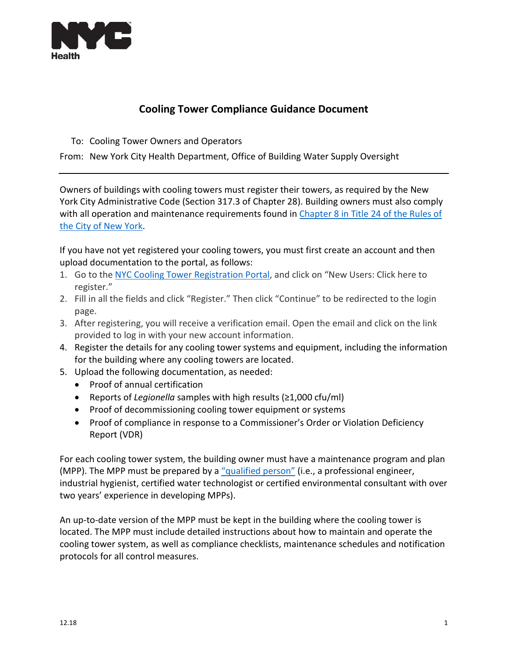

## **Cooling Tower Compliance Guidance Document**

To: Cooling Tower Owners and Operators

From: New York City Health Department, Office of Building Water Supply Oversight

Owners of buildings with cooling towers must register their towers, as required by the New York City Administrative Code (Section 317.3 of Chapter 28). Building owners must also comply with all operation and maintenance requirements found in [Chapter 8 in Title 24 of the Rules of](http://rules.cityofnewyork.us/content/cooling-towers-new-chapter-8-title-24-rules-city-new-york-establish-rules-maintenance-0)  [the City of New York.](http://rules.cityofnewyork.us/content/cooling-towers-new-chapter-8-title-24-rules-city-new-york-establish-rules-maintenance-0)

If you have not yet registered your cooling towers, you must first create an account and then upload documentation to the portal, as follows:

- 1. Go to the NYC [Cooling Tower Registration Portal,](https://coolingtowers.cityofnewyork.us/eforma/custom/index.do;jsessionid=DguemvJRwDUe3vn63-snwkNo3RaMgQt4SZDiPa6j.dohmh) and click on "New Users: Click here to register."
- 2. Fill in all the fields and click "Register." Then click "Continue" to be redirected to the login page.
- 3. After registering, you will receive a verification email. Open the email and click on the link provided to log in with your new account information.
- 4. Register the details for any cooling tower systems and equipment, including the information for the building where any cooling towers are located.
- 5. Upload the following documentation, as needed:
	- Proof of annual certification
	- Reports of *Legionella* samples with high results (≥1,000 cfu/ml)
	- Proof of decommissioning cooling tower equipment or systems
	- Proof of compliance in response to a Commissioner's Order or Violation Deficiency Report (VDR)

For each cooling tower system, the building owner must have a maintenance program and plan (MPP). The MPP must be prepared by a ["qualified person"](https://www1.nyc.gov/site/doh/business/permits-and-licenses/cooling-towers-mpp.page) (i.e., a professional engineer, industrial hygienist, certified water technologist or certified environmental consultant with over two years' experience in developing MPPs).

An up-to-date version of the MPP must be kept in the building where the cooling tower is located. The MPP must include detailed instructions about how to maintain and operate the cooling tower system, as well as compliance checklists, maintenance schedules and notification protocols for all control measures.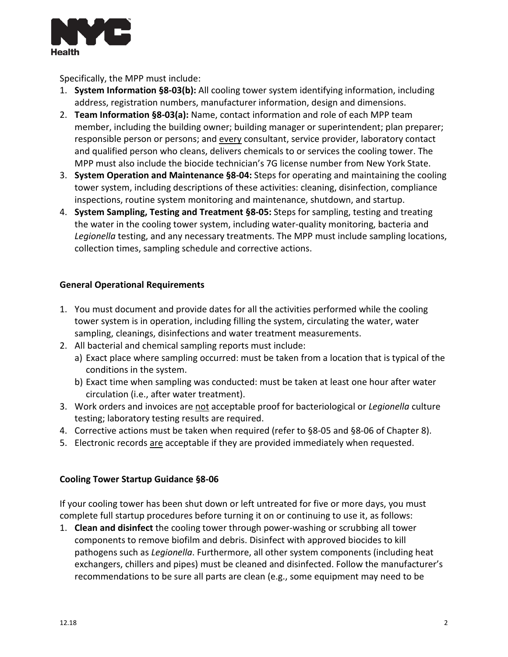

Specifically, the MPP must include:

- 1. **System Information §8-03(b):** All cooling tower system identifying information, including address, registration numbers, manufacturer information, design and dimensions.
- 2. **Team Information §8-03(a):** Name, contact information and role of each MPP team member, including the building owner; building manager or superintendent; plan preparer; responsible person or persons; and every consultant, service provider, laboratory contact and qualified person who cleans, delivers chemicals to or services the cooling tower. The MPP must also include the biocide technician's 7G license number from New York State.
- 3. **System Operation and Maintenance §8-04:** Steps for operating and maintaining the cooling tower system, including descriptions of these activities: cleaning, disinfection, compliance inspections, routine system monitoring and maintenance, shutdown, and startup.
- 4. **System Sampling, Testing and Treatment §8-05:** Steps for sampling, testing and treating the water in the cooling tower system, including water-quality monitoring, bacteria and *Legionella* testing, and any necessary treatments. The MPP must include sampling locations, collection times, sampling schedule and corrective actions.

## **General Operational Requirements**

- 1. You must document and provide dates for all the activities performed while the cooling tower system is in operation, including filling the system, circulating the water, water sampling, cleanings, disinfections and water treatment measurements.
- 2. All bacterial and chemical sampling reports must include:
	- a) Exact place where sampling occurred: must be taken from a location that is typical of the conditions in the system.
	- b) Exact time when sampling was conducted: must be taken at least one hour after water circulation (i.e., after water treatment).
- 3. Work orders and invoices are not acceptable proof for bacteriological or *Legionella* culture testing; laboratory testing results are required.
- 4. Corrective actions must be taken when required (refer to §8-05 and §8-06 of Chapter 8).
- 5. Electronic records are acceptable if they are provided immediately when requested.

## **Cooling Tower Startup Guidance §8-06**

If your cooling tower has been shut down or left untreated for five or more days, you must complete full startup procedures before turning it on or continuing to use it, as follows:

1. **Clean and disinfect** the cooling tower through power-washing or scrubbing all tower components to remove biofilm and debris. Disinfect with approved biocides to kill pathogens such as *Legionella*. Furthermore, all other system components (including heat exchangers, chillers and pipes) must be cleaned and disinfected. Follow the manufacturer's recommendations to be sure all parts are clean (e.g., some equipment may need to be